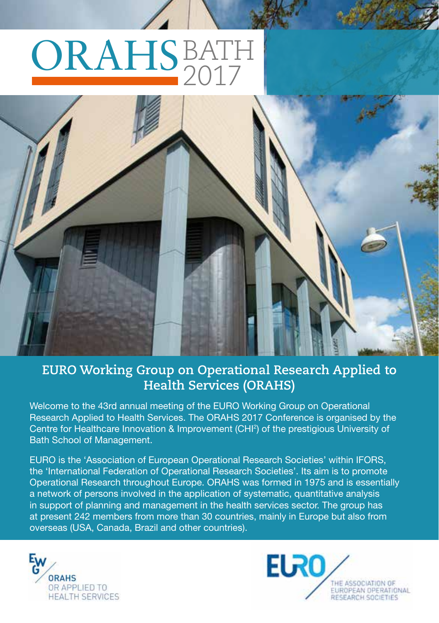# ORAHSBATH 2017



#### **EURO Working Group on Operational Research Applied to Health Services (ORAHS)**

Welcome to the 43rd annual meeting of the EURO Working Group on Operational Research Applied to Health Services. The ORAHS 2017 Conference is organised by the Centre for Healthcare Innovation & Improvement (CHI2 ) of the prestigious University of Bath School of Management.

EURO is the 'Association of European Operational Research Societies' within IFORS, the 'International Federation of Operational Research Societies'. Its aim is to promote Operational Research throughout Europe. ORAHS was formed in 1975 and is essentially a network of persons involved in the application of systematic, quantitative analysis in support of planning and management in the health services sector. The group has at present 242 members from more than 30 countries, mainly in Europe but also from overseas (USA, Canada, Brazil and other countries).



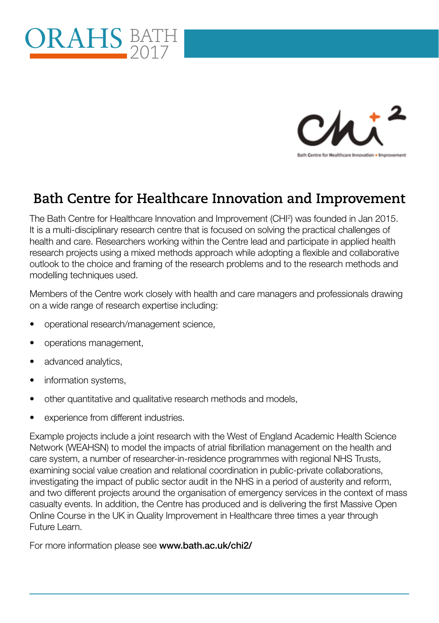



#### **Bath Centre for Healthcare Innovation and Improvement**

The Bath Centre for Healthcare Innovation and Improvement (CHI2 ) was founded in Jan 2015. It is a multi-disciplinary research centre that is focused on solving the practical challenges of health and care. Researchers working within the Centre lead and participate in applied health research projects using a mixed methods approach while adopting a flexible and collaborative outlook to the choice and framing of the research problems and to the research methods and modelling techniques used.

Members of the Centre work closely with health and care managers and professionals drawing on a wide range of research expertise including:

- operational research/management science,
- operations management,
- advanced analytics,
- information systems,
- other quantitative and qualitative research methods and models,
- experience from different industries.

Example projects include a joint research with the West of England Academic Health Science Network (WEAHSN) to model the impacts of atrial fibrillation management on the health and care system, a number of researcher-in-residence programmes with regional NHS Trusts, examining social value creation and relational coordination in public-private collaborations, investigating the impact of public sector audit in the NHS in a period of austerity and reform, and two different projects around the organisation of emergency services in the context of mass casualty events. In addition, the Centre has produced and is delivering the first Massive Open Online Course in the UK in Quality Improvement in Healthcare three times a year through Future Learn.

For more information please see www.bath.ac.uk/chi2/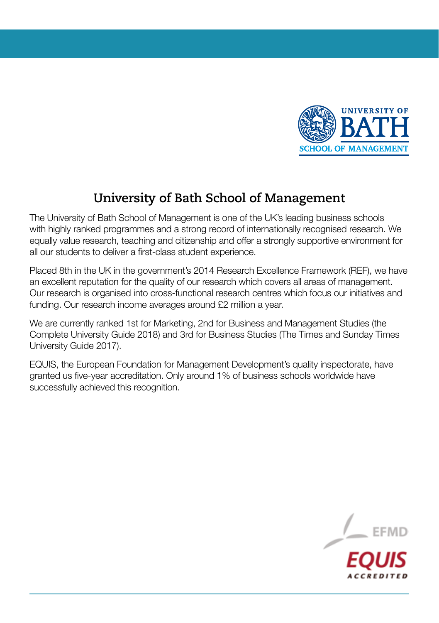

#### **University of Bath School of Management**

The University of Bath School of Management is one of the UK's leading business schools with highly ranked programmes and a strong record of internationally recognised research. We equally value research, teaching and citizenship and offer a strongly supportive environment for all our students to deliver a first-class student experience.

Placed 8th in the UK in the government's 2014 Research Excellence Framework (REF), we have an excellent reputation for the quality of our research which covers all areas of management. Our research is organised into cross-functional research centres which focus our initiatives and funding. Our research income averages around £2 million a year.

We are currently ranked 1st for Marketing, 2nd for Business and Management Studies (the Complete University Guide 2018) and 3rd for Business Studies (The Times and Sunday Times University Guide 2017).

EQUIS, the European Foundation for Management Development's quality inspectorate, have granted us five-year accreditation. Only around 1% of business schools worldwide have successfully achieved this recognition.

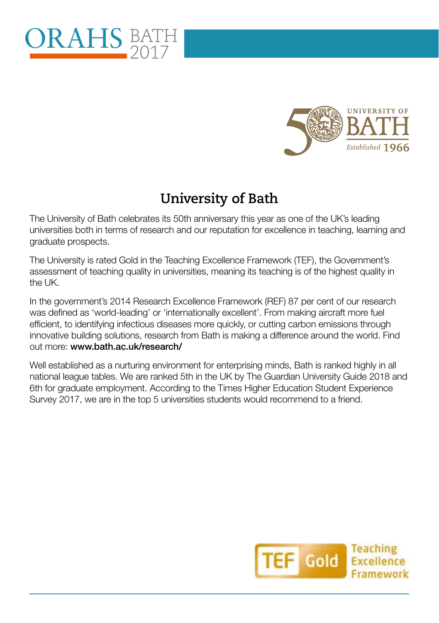



#### **University of Bath**

The University of Bath celebrates its 50th anniversary this year as one of the UK's leading universities both in terms of research and our reputation for excellence in teaching, learning and graduate prospects.

The University is rated Gold in the Teaching Excellence Framework (TEF), the Government's assessment of teaching quality in universities, meaning its teaching is of the highest quality in the UK.

In the government's 2014 Research Excellence Framework (REF) 87 per cent of our research was defined as 'world-leading' or 'internationally excellent'. From making aircraft more fuel efficient, to identifying infectious diseases more quickly, or cutting carbon emissions through innovative building solutions, research from Bath is making a difference around the world. Find out more: www.bath.ac.uk/research/

Well established as a nurturing environment for enterprising minds, Bath is ranked highly in all national league tables. We are ranked 5th in the UK by The Guardian University Guide 2018 and 6th for graduate employment. According to the Times Higher Education Student Experience Survey 2017, we are in the top 5 universities students would recommend to a friend.

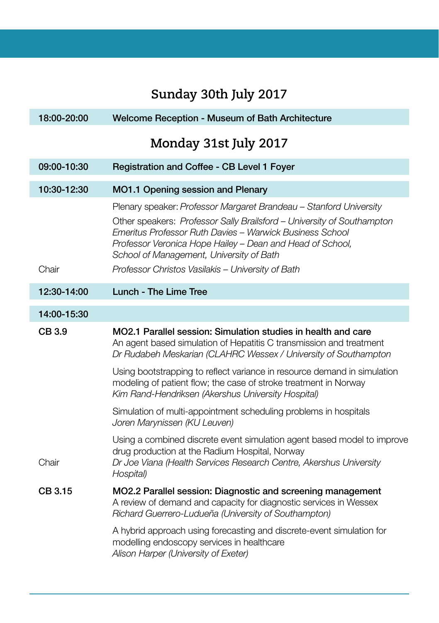## **Sunday 30th July 2017**

I

| 18:00-20:00 | Welcome Reception - Museum of Bath Architecture                                                                                                                                                                                                                                                                                                                        |
|-------------|------------------------------------------------------------------------------------------------------------------------------------------------------------------------------------------------------------------------------------------------------------------------------------------------------------------------------------------------------------------------|
|             | Monday 31st July 2017                                                                                                                                                                                                                                                                                                                                                  |
| 09:00-10:30 | Registration and Coffee - CB Level 1 Foyer                                                                                                                                                                                                                                                                                                                             |
| 10:30-12:30 | MO1.1 Opening session and Plenary                                                                                                                                                                                                                                                                                                                                      |
| Chair       | Plenary speaker: Professor Margaret Brandeau - Stanford University<br>Other speakers: Professor Sally Brailsford - University of Southampton<br>Emeritus Professor Ruth Davies - Warwick Business School<br>Professor Veronica Hope Hailey - Dean and Head of School,<br>School of Management, University of Bath<br>Professor Christos Vasilakis - University of Bath |
| 12:30-14:00 | Lunch - The Lime Tree                                                                                                                                                                                                                                                                                                                                                  |
|             |                                                                                                                                                                                                                                                                                                                                                                        |
| 14:00-15:30 |                                                                                                                                                                                                                                                                                                                                                                        |
| CB 3.9      | MO2.1 Parallel session: Simulation studies in health and care<br>An agent based simulation of Hepatitis C transmission and treatment<br>Dr Rudabeh Meskarian (CLAHRC Wessex / University of Southampton                                                                                                                                                                |
|             | Using bootstrapping to reflect variance in resource demand in simulation<br>modeling of patient flow; the case of stroke treatment in Norway<br>Kim Rand-Hendriksen (Akershus University Hospital)                                                                                                                                                                     |
|             | Simulation of multi-appointment scheduling problems in hospitals<br>Joren Marynissen (KU Leuven)                                                                                                                                                                                                                                                                       |
| Chair       | Using a combined discrete event simulation agent based model to improve<br>drug production at the Radium Hospital, Norway<br>Dr Joe Viana (Health Services Research Centre, Akershus University<br>Hospital)                                                                                                                                                           |
| CB 3.15     | MO2.2 Parallel session: Diagnostic and screening management<br>A review of demand and capacity for diagnostic services in Wessex<br>Richard Guerrero-Ludueña (University of Southampton)                                                                                                                                                                               |
|             | A hybrid approach using forecasting and discrete-event simulation for<br>modelling endoscopy services in healthcare<br>Alison Harper (University of Exeter)                                                                                                                                                                                                            |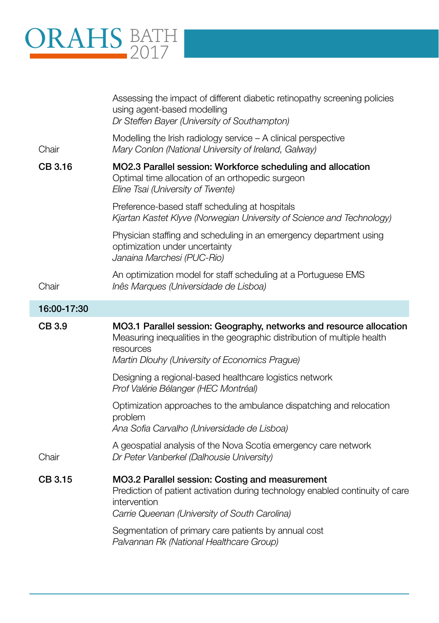# ORAHS BATH 2017

|             | Assessing the impact of different diabetic retinopathy screening policies<br>using agent-based modelling<br>Dr Steffen Bayer (University of Southampton)                                                       |
|-------------|----------------------------------------------------------------------------------------------------------------------------------------------------------------------------------------------------------------|
| Chair       | Modelling the Irish radiology service $-$ A clinical perspective<br>Mary Conlon (National University of Ireland, Galway)                                                                                       |
| CB 3.16     | MO2.3 Parallel session: Workforce scheduling and allocation<br>Optimal time allocation of an orthopedic surgeon<br>Eline Tsai (University of Twente)                                                           |
|             | Preference-based staff scheduling at hospitals<br>Kjartan Kastet Klyve (Norwegian University of Science and Technology)                                                                                        |
|             | Physician staffing and scheduling in an emergency department using<br>optimization under uncertainty<br>Janaina Marchesi (PUC-Rio)                                                                             |
| Chair       | An optimization model for staff scheduling at a Portuguese EMS<br>Inês Marques (Universidade de Lisboa)                                                                                                        |
| 16:00-17:30 |                                                                                                                                                                                                                |
| CB 3.9      | MO3.1 Parallel session: Geography, networks and resource allocation<br>Measuring inequalities in the geographic distribution of multiple health<br>resources<br>Martin Dlouhy (University of Economics Prague) |
|             | Designing a regional-based healthcare logistics network<br>Prof Valérie Bélanger (HEC Montréal)                                                                                                                |
|             | Optimization approaches to the ambulance dispatching and relocation<br>problem<br>Ana Sofia Carvalho (Universidade de Lisboa)                                                                                  |
| Chair       | A geospatial analysis of the Nova Scotia emergency care network<br>Dr Peter Vanberkel (Dalhousie University)                                                                                                   |
| CB 3.15     | MO3.2 Parallel session: Costing and measurement<br>Prediction of patient activation during technology enabled continuity of care<br>intervention                                                               |
|             | Carrie Queenan (University of South Carolina)                                                                                                                                                                  |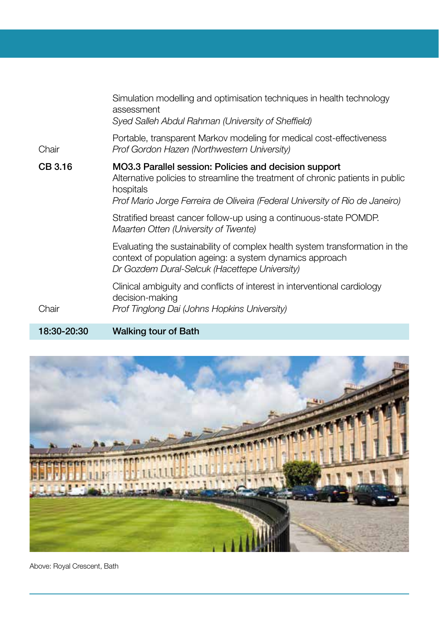|         | Simulation modelling and optimisation techniques in health technology<br>assessment<br>Syed Salleh Abdul Rahman (University of Sheffield)                                                                                            |
|---------|--------------------------------------------------------------------------------------------------------------------------------------------------------------------------------------------------------------------------------------|
| Chair   | Portable, transparent Markov modeling for medical cost-effectiveness<br>Prof Gordon Hazen (Northwestern University)                                                                                                                  |
| CB 3.16 | MO3.3 Parallel session: Policies and decision support<br>Alternative policies to streamline the treatment of chronic patients in public<br>hospitals<br>Prof Mario Jorge Ferreira de Oliveira (Federal University of Rio de Janeiro) |
|         | Stratified breast cancer follow-up using a continuous-state POMDP.<br>Maarten Otten (University of Twente)                                                                                                                           |
|         | Evaluating the sustainability of complex health system transformation in the<br>context of population ageing: a system dynamics approach<br>Dr Gozdem Dural-Selcuk (Hacettepe University)                                            |
| Chair   | Clinical ambiguity and conflicts of interest in interventional cardiology<br>decision-making<br>Prof Tinglong Dai (Johns Hopkins University)                                                                                         |
|         |                                                                                                                                                                                                                                      |

18:30-20:30 Walking tour of Bath



Above: Royal Crescent, Bath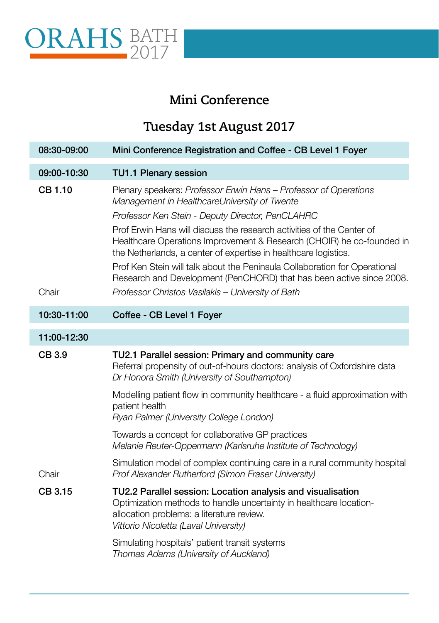

#### **Mini Conference**

## **Tuesday 1st August 2017**

| 08:30-09:00    | Mini Conference Registration and Coffee - CB Level 1 Foyer                                                                                                                                                              |
|----------------|-------------------------------------------------------------------------------------------------------------------------------------------------------------------------------------------------------------------------|
| 09:00-10:30    | <b>TU1.1 Plenary session</b>                                                                                                                                                                                            |
| <b>CB 1.10</b> | Plenary speakers: Professor Erwin Hans – Professor of Operations<br>Management in HealthcareUniversity of Twente<br>Professor Ken Stein - Deputy Director, PenCLAHRC                                                    |
|                | Prof Erwin Hans will discuss the research activities of the Center of<br>Healthcare Operations Improvement & Research (CHOIR) he co-founded in<br>the Netherlands, a center of expertise in healthcare logistics.       |
|                | Prof Ken Stein will talk about the Peninsula Collaboration for Operational<br>Research and Development (PenCHORD) that has been active since 2008.                                                                      |
| Chair          | Professor Christos Vasilakis - University of Bath                                                                                                                                                                       |
| 10:30-11:00    | Coffee - CB Level 1 Foyer                                                                                                                                                                                               |
| 11:00-12:30    |                                                                                                                                                                                                                         |
| CB 3.9         | TU2.1 Parallel session: Primary and community care<br>Referral propensity of out-of-hours doctors: analysis of Oxfordshire data<br>Dr Honora Smith (University of Southampton)                                          |
|                | Modelling patient flow in community healthcare - a fluid approximation with<br>patient health<br>Ryan Palmer (University College London)                                                                                |
|                | Towards a concept for collaborative GP practices<br>Melanie Reuter-Oppermann (Karlsruhe Institute of Technology)                                                                                                        |
| Chair          | Simulation model of complex continuing care in a rural community hospital<br>Prof Alexander Rutherford (Simon Fraser University)                                                                                        |
| CB 3.15        | TU2.2 Parallel session: Location analysis and visualisation<br>Optimization methods to handle uncertainty in healthcare location-<br>allocation problems: a literature review.<br>Vittorio Nicoletta (Laval University) |
|                | Simulating hospitals' patient transit systems<br>Thomas Adams (University of Auckland)                                                                                                                                  |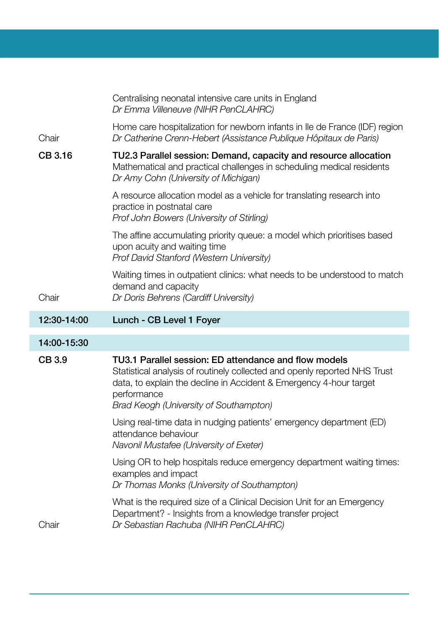|             | Centralising neonatal intensive care units in England<br>Dr Emma Villeneuve (NIHR PenCLAHRC)                                                                                                                                                                      |
|-------------|-------------------------------------------------------------------------------------------------------------------------------------------------------------------------------------------------------------------------------------------------------------------|
| Chair       | Home care hospitalization for newborn infants in Ile de France (IDF) region<br>Dr Catherine Crenn-Hebert (Assistance Publique Hôpitaux de Paris)                                                                                                                  |
| CB 3.16     | TU2.3 Parallel session: Demand, capacity and resource allocation<br>Mathematical and practical challenges in scheduling medical residents<br>Dr Amy Cohn (University of Michigan)                                                                                 |
|             | A resource allocation model as a vehicle for translating research into<br>practice in postnatal care<br>Prof John Bowers (University of Stirling)                                                                                                                 |
|             | The affine accumulating priority queue: a model which prioritises based<br>upon acuity and waiting time<br>Prof David Stanford (Western University)                                                                                                               |
| Chair       | Waiting times in outpatient clinics: what needs to be understood to match<br>demand and capacity<br>Dr Doris Behrens (Cardiff University)                                                                                                                         |
|             |                                                                                                                                                                                                                                                                   |
| 12:30-14:00 | Lunch - CB Level 1 Foyer                                                                                                                                                                                                                                          |
| 14:00-15:30 |                                                                                                                                                                                                                                                                   |
| CB 3.9      | TU3.1 Parallel session: ED attendance and flow models<br>Statistical analysis of routinely collected and openly reported NHS Trust<br>data, to explain the decline in Accident & Emergency 4-hour target<br>performance<br>Brad Keogh (University of Southampton) |
|             | Using real-time data in nudging patients' emergency department (ED)<br>attendance behaviour<br>Navonil Mustafee (University of Exeter)                                                                                                                            |
|             | Using OR to help hospitals reduce emergency department waiting times:<br>examples and impact<br>Dr Thomas Monks (University of Southampton)                                                                                                                       |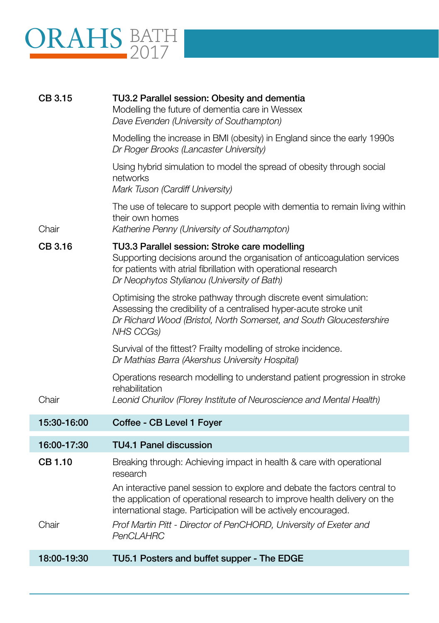

| CB 3.15        | TU3.2 Parallel session: Obesity and dementia<br>Modelling the future of dementia care in Wessex<br>Dave Evenden (University of Southampton)                                                                                                 |
|----------------|---------------------------------------------------------------------------------------------------------------------------------------------------------------------------------------------------------------------------------------------|
|                | Modelling the increase in BMI (obesity) in England since the early 1990s<br>Dr Roger Brooks (Lancaster University)                                                                                                                          |
|                | Using hybrid simulation to model the spread of obesity through social<br>networks<br>Mark Tuson (Cardiff University)                                                                                                                        |
| Chair          | The use of telecare to support people with dementia to remain living within<br>their own homes<br>Katherine Penny (University of Southampton)                                                                                               |
| CB 3.16        | TU3.3 Parallel session: Stroke care modelling<br>Supporting decisions around the organisation of anticoagulation services<br>for patients with atrial fibrillation with operational research<br>Dr Neophytos Stylianou (University of Bath) |
|                | Optimising the stroke pathway through discrete event simulation:<br>Assessing the credibility of a centralised hyper-acute stroke unit<br>Dr Richard Wood (Bristol, North Somerset, and South Gloucestershire<br>NHS CCGs)                  |
|                | Survival of the fittest? Frailty modelling of stroke incidence.<br>Dr Mathias Barra (Akershus University Hospital)                                                                                                                          |
| Chair          | Operations research modelling to understand patient progression in stroke<br>rehabilitation<br>Leonid Churilov (Florey Institute of Neuroscience and Mental Health)                                                                         |
| 15:30-16:00    | Coffee - CB Level 1 Foyer                                                                                                                                                                                                                   |
| 16:00-17:30    | <b>TU4.1 Panel discussion</b>                                                                                                                                                                                                               |
| <b>CB 1.10</b> | Breaking through: Achieving impact in health & care with operational<br>research                                                                                                                                                            |
|                | An interactive panel session to explore and debate the factors central to<br>the application of operational research to improve health delivery on the<br>international stage. Participation will be actively encouraged.                   |
| Chair          | Prof Martin Pitt - Director of PenCHORD, University of Exeter and<br>PenCLAHRC                                                                                                                                                              |
| 18:00-19:30    | TU5.1 Posters and buffet supper - The EDGE                                                                                                                                                                                                  |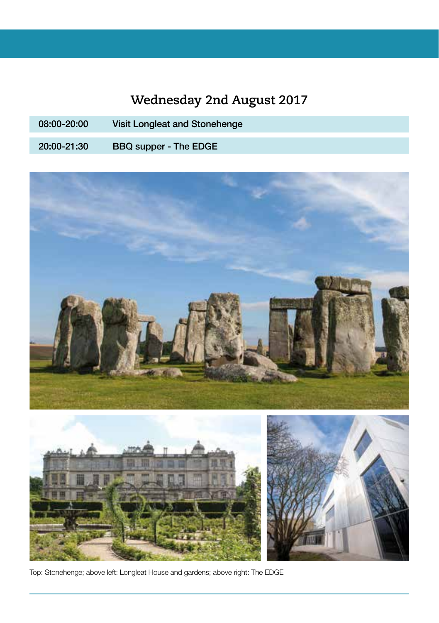## **Wednesday 2nd August 2017**

08:00-20:00 Visit Longleat and Stonehenge 20:00-21:30 BBQ supper - The EDGE



Top: Stonehenge; above left: Longleat House and gardens; above right: The EDGE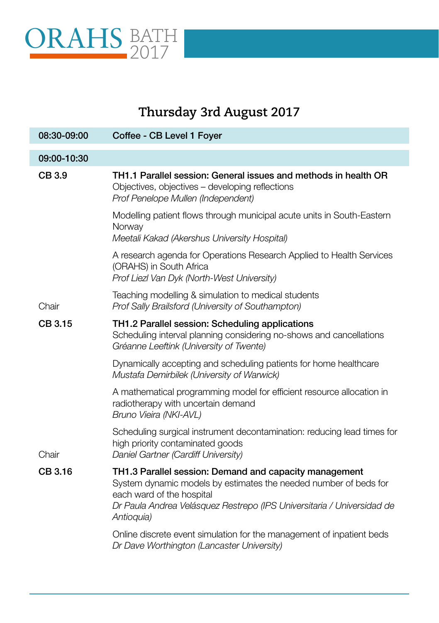

г

## **Thursday 3rd August 2017**

| 08:30-09:00 | Coffee - CB Level 1 Foyer                                                                                                                                                                                                                       |
|-------------|-------------------------------------------------------------------------------------------------------------------------------------------------------------------------------------------------------------------------------------------------|
| 09:00-10:30 |                                                                                                                                                                                                                                                 |
| CB 3.9      | TH1.1 Parallel session: General issues and methods in health OR<br>Objectives, objectives - developing reflections<br>Prof Penelope Mullen (Independent)                                                                                        |
|             | Modelling patient flows through municipal acute units in South-Eastern<br>Norway<br>Meetali Kakad (Akershus University Hospital)                                                                                                                |
|             | A research agenda for Operations Research Applied to Health Services<br>(ORAHS) in South Africa<br>Prof Liezl Van Dyk (North-West University)                                                                                                   |
| Chair       | Teaching modelling & simulation to medical students<br>Prof Sally Brailsford (University of Southampton)                                                                                                                                        |
| CB 3.15     | TH1.2 Parallel session: Scheduling applications<br>Scheduling interval planning considering no-shows and cancellations<br>Gréanne Leeftink (University of Twente)                                                                               |
|             | Dynamically accepting and scheduling patients for home healthcare<br>Mustafa Demirbilek (University of Warwick)                                                                                                                                 |
|             | A mathematical programming model for efficient resource allocation in<br>radiotherapy with uncertain demand<br>Bruno Vieira (NKI-AVL)                                                                                                           |
| Chair       | Scheduling surgical instrument decontamination: reducing lead times for<br>high priority contaminated goods<br>Daniel Gartner (Cardiff University)                                                                                              |
| CB 3.16     | TH1.3 Parallel session: Demand and capacity management<br>System dynamic models by estimates the needed number of beds for<br>each ward of the hospital<br>Dr Paula Andrea Velásquez Restrepo (IPS Universitaria / Universidad de<br>Antioquia) |
|             | Online discrete event simulation for the management of inpatient beds<br>Dr Dave Worthington (Lancaster University)                                                                                                                             |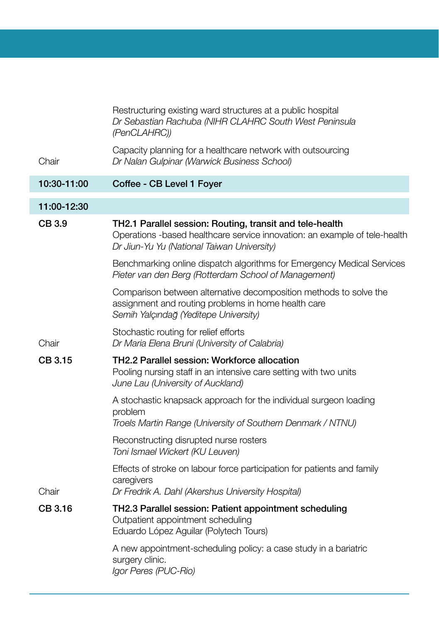|             | Restructuring existing ward structures at a public hospital<br>Dr Sebastian Rachuba (NIHR CLAHRC South West Peninsula<br>(PenCLAHRC))                                                |
|-------------|--------------------------------------------------------------------------------------------------------------------------------------------------------------------------------------|
| Chair       | Capacity planning for a healthcare network with outsourcing<br>Dr Nalan Gulpinar (Warwick Business School)                                                                           |
| 10:30-11:00 | Coffee - CB Level 1 Foyer                                                                                                                                                            |
| 11:00-12:30 |                                                                                                                                                                                      |
| CB 3.9      | TH2.1 Parallel session: Routing, transit and tele-health<br>Operations -based healthcare service innovation: an example of tele-health<br>Dr Jiun-Yu Yu (National Taiwan University) |
|             | Benchmarking online dispatch algorithms for Emergency Medical Services<br>Pieter van den Berg (Rotterdam School of Management)                                                       |
|             | Comparison between alternative decomposition methods to solve the<br>assignment and routing problems in home health care<br>Semih Yalçındağ (Yeditepe University)                    |
| Chair       | Stochastic routing for relief efforts<br>Dr Maria Elena Bruni (University of Calabria)                                                                                               |
| CB 3.15     | TH2.2 Parallel session: Workforce allocation<br>Pooling nursing staff in an intensive care setting with two units<br>June Lau (University of Auckland)                               |
|             | A stochastic knapsack approach for the individual surgeon loading<br>problem<br>Troels Martin Range (University of Southern Denmark / NTNU)                                          |
|             | Reconstructing disrupted nurse rosters<br>Toni Ismael Wickert (KU Leuven)                                                                                                            |
| Chair       | Effects of stroke on labour force participation for patients and family<br>caregivers<br>Dr Fredrik A. Dahl (Akershus University Hospital)                                           |
| CB 3.16     | TH2.3 Parallel session: Patient appointment scheduling<br>Outpatient appointment scheduling<br>Eduardo López Aguilar (Polytech Tours)                                                |
|             | A new appointment-scheduling policy: a case study in a bariatric<br>surgery clinic.<br>Igor Peres (PUC-Rio)                                                                          |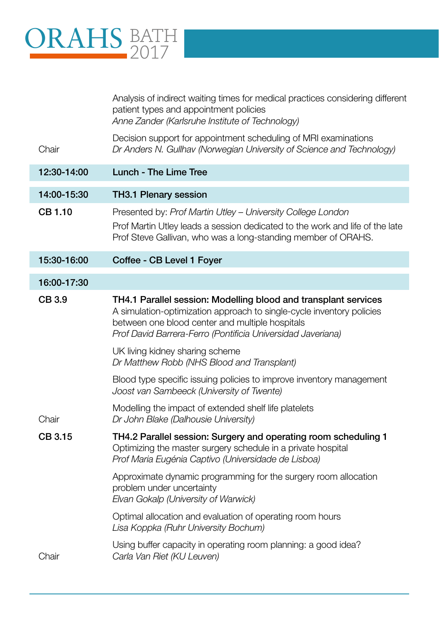# ORAHS BATH 2017

|                | Analysis of indirect waiting times for medical practices considering different<br>patient types and appointment policies<br>Anne Zander (Karlsruhe Institute of Technology)                                                                                |
|----------------|------------------------------------------------------------------------------------------------------------------------------------------------------------------------------------------------------------------------------------------------------------|
| Chair          | Decision support for appointment scheduling of MRI examinations<br>Dr Anders N. Gullhav (Norwegian University of Science and Technology)                                                                                                                   |
| 12:30-14:00    | Lunch - The Lime Tree                                                                                                                                                                                                                                      |
| 14:00-15:30    | TH3.1 Plenary session                                                                                                                                                                                                                                      |
| <b>CB 1.10</b> | Presented by: Prof Martin Utley - University College London<br>Prof Martin Utley leads a session dedicated to the work and life of the late<br>Prof Steve Gallivan, who was a long-standing member of ORAHS.                                               |
| 15:30-16:00    | Coffee - CB Level 1 Foyer                                                                                                                                                                                                                                  |
| 16:00-17:30    |                                                                                                                                                                                                                                                            |
| CB 3.9         | TH4.1 Parallel session: Modelling blood and transplant services<br>A simulation-optimization approach to single-cycle inventory policies<br>between one blood center and multiple hospitals<br>Prof David Barrera-Ferro (Pontificia Universidad Javeriana) |
|                | UK living kidney sharing scheme<br>Dr Matthew Robb (NHS Blood and Transplant)                                                                                                                                                                              |
|                | Blood type specific issuing policies to improve inventory management<br>Joost van Sambeeck (University of Twente)                                                                                                                                          |
| Chair          | Modelling the impact of extended shelf life platelets<br>Dr John Blake (Dalhousie University)                                                                                                                                                              |
| CB 3.15        | TH4.2 Parallel session: Surgery and operating room scheduling 1<br>Optimizing the master surgery schedule in a private hospital<br>Prof Maria Eugénia Captivo (Universidade de Lisboa)                                                                     |
|                | Approximate dynamic programming for the surgery room allocation<br>problem under uncertainty<br>Elvan Gokalp (University of Warwick)                                                                                                                       |
|                | Optimal allocation and evaluation of operating room hours<br>Lisa Koppka (Ruhr University Bochum)                                                                                                                                                          |
| Chair          | Using buffer capacity in operating room planning: a good idea?<br>Carla Van Riet (KU Leuven)                                                                                                                                                               |
|                |                                                                                                                                                                                                                                                            |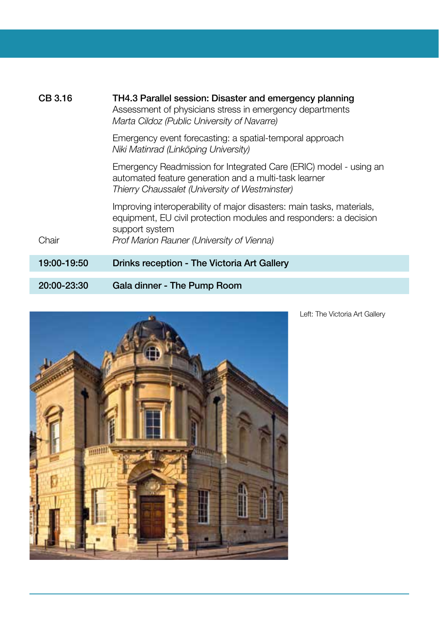| CB 3.16     | TH4.3 Parallel session: Disaster and emergency planning<br>Assessment of physicians stress in emergency departments<br>Marta Cildoz (Public University of Navarre)                                        |
|-------------|-----------------------------------------------------------------------------------------------------------------------------------------------------------------------------------------------------------|
|             | Emergency event forecasting: a spatial-temporal approach<br>Niki Matinrad (Linköping University)                                                                                                          |
|             | Emergency Readmission for Integrated Care (ERIC) model - using an<br>automated feature generation and a multi-task learner<br>Thierry Chaussalet (University of Westminster)                              |
| Chair       | Improving interoperability of major disasters: main tasks, materials,<br>equipment, EU civil protection modules and responders: a decision<br>support system<br>Prof Marion Rauner (University of Vienna) |
| 19:00-19:50 | Drinks reception - The Victoria Art Gallery                                                                                                                                                               |
| 20:00-23:30 | Gala dinner - The Pump Room                                                                                                                                                                               |



Left: The Victoria Art Gallery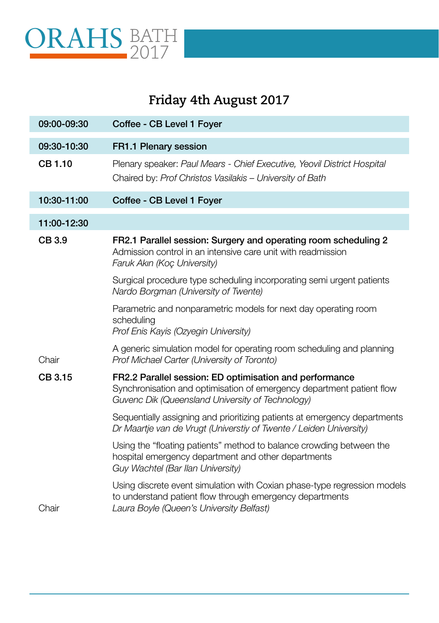

## **Friday 4th August 2017**

| 09:00-09:30 | Coffee - CB Level 1 Foyer                                                                                                                                                            |
|-------------|--------------------------------------------------------------------------------------------------------------------------------------------------------------------------------------|
| 09:30-10:30 | FR1.1 Plenary session                                                                                                                                                                |
| CB 1.10     | Plenary speaker: Paul Mears - Chief Executive, Yeovil District Hospital<br>Chaired by: Prof Christos Vasilakis - University of Bath                                                  |
| 10:30-11:00 | Coffee - CB Level 1 Foyer                                                                                                                                                            |
| 11:00-12:30 |                                                                                                                                                                                      |
| CB 3.9      | FR2.1 Parallel session: Surgery and operating room scheduling 2<br>Admission control in an intensive care unit with readmission<br>Faruk Akın (Koç University)                       |
|             | Surgical procedure type scheduling incorporating semi urgent patients<br>Nardo Borgman (University of Twente)                                                                        |
|             | Parametric and nonparametric models for next day operating room<br>scheduling<br>Prof Enis Kayis (Ozyegin University)                                                                |
| Chair       | A generic simulation model for operating room scheduling and planning<br>Prof Michael Carter (University of Toronto)                                                                 |
| CB 3.15     | FR2.2 Parallel session: ED optimisation and performance<br>Synchronisation and optimisation of emergency department patient flow<br>Guvenc Dik (Queensland University of Technology) |
|             | Sequentially assigning and prioritizing patients at emergency departments<br>Dr Maartje van de Vrugt (Universtiy of Twente / Leiden University)                                      |
|             | Using the "floating patients" method to balance crowding between the<br>hospital emergency department and other departments<br>Guy Wachtel (Bar Ilan University)                     |
| Chair       | Using discrete event simulation with Coxian phase-type regression models<br>to understand patient flow through emergency departments<br>Laura Boyle (Queen's University Belfast)     |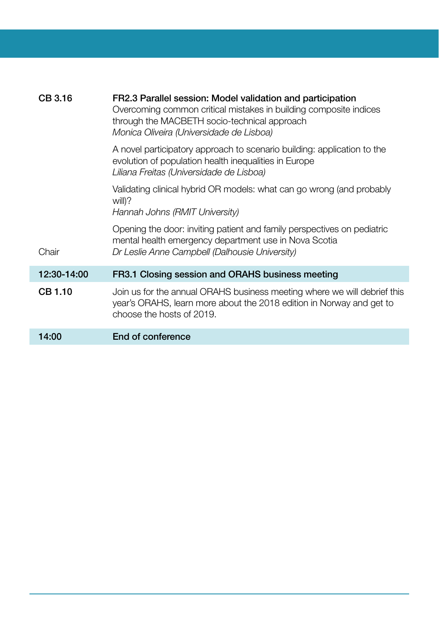| CB 3.16     | FR2.3 Parallel session: Model validation and participation<br>Overcoming common critical mistakes in building composite indices<br>through the MACBETH socio-technical approach<br>Monica Oliveira (Universidade de Lisboa) |
|-------------|-----------------------------------------------------------------------------------------------------------------------------------------------------------------------------------------------------------------------------|
|             | A novel participatory approach to scenario building: application to the<br>evolution of population health inequalities in Europe<br>Liliana Freitas (Universidade de Lisboa)                                                |
|             | Validating clinical hybrid OR models: what can go wrong (and probably<br>will)?<br>Hannah Johns (RMIT University)                                                                                                           |
| Chair       | Opening the door: inviting patient and family perspectives on pediatric<br>mental health emergency department use in Nova Scotia<br>Dr Leslie Anne Campbell (Dalhousie University)                                          |
| 12:30-14:00 | FR3.1 Closing session and ORAHS business meeting                                                                                                                                                                            |
| CB 1.10     | Join us for the annual ORAHS business meeting where we will debrief this<br>year's ORAHS, learn more about the 2018 edition in Norway and get to<br>choose the hosts of 2019.                                               |
| 14:00       | End of conference                                                                                                                                                                                                           |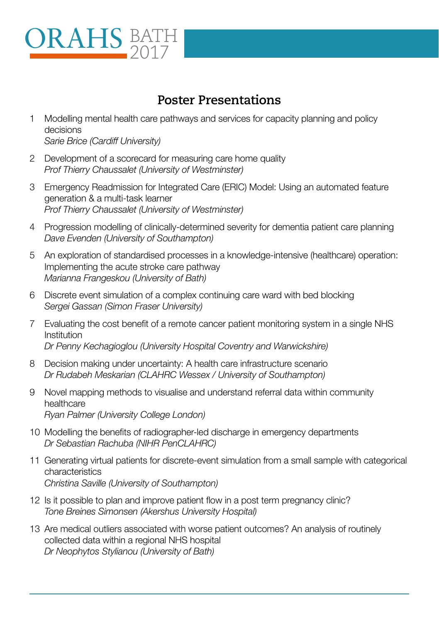# ORAHS BATH 2017

#### **Poster Presentations**

- 1 Modelling mental health care pathways and services for capacity planning and policy decisions *Sarie Brice (Cardiff University)*
- 2 Development of a scorecard for measuring care home quality *Prof Thierry Chaussalet (University of Westminster)*
- 3 Emergency Readmission for Integrated Care (ERIC) Model: Using an automated feature generation & a multi-task learner *Prof Thierry Chaussalet (University of Westminster)*
- 4 Progression modelling of clinically-determined severity for dementia patient care planning *Dave Evenden (University of Southampton)*
- 5 An exploration of standardised processes in a knowledge-intensive (healthcare) operation: Implementing the acute stroke care pathway *Marianna Frangeskou (University of Bath)*
- 6 Discrete event simulation of a complex continuing care ward with bed blocking *Sergei Gassan (Simon Fraser University)*
- 7 Evaluating the cost benefit of a remote cancer patient monitoring system in a single NHS Institution *Dr Penny Kechagioglou (University Hospital Coventry and Warwickshire)*
- 8 Decision making under uncertainty: A health care infrastructure scenario *Dr Rudabeh Meskarian (CLAHRC Wessex / University of Southampton)*
- 9 Novel mapping methods to visualise and understand referral data within community healthcare *Ryan Palmer (University College London)*
- 10 Modelling the benefits of radiographer-led discharge in emergency departments *Dr Sebastian Rachuba (NIHR PenCLAHRC)*
- 11 Generating virtual patients for discrete-event simulation from a small sample with categorical characteristics *Christina Saville (University of Southampton)*
- 12 Is it possible to plan and improve patient flow in a post term pregnancy clinic? *Tone Breines Simonsen (Akershus University Hospital)*
- 13 Are medical outliers associated with worse patient outcomes? An analysis of routinely collected data within a regional NHS hospital *Dr Neophytos Stylianou (University of Bath)*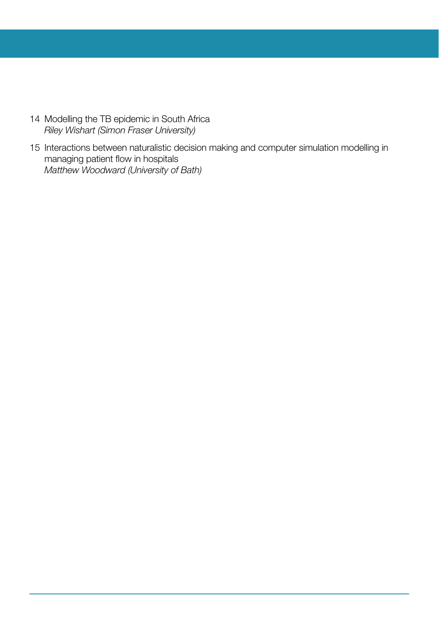- 14 Modelling the TB epidemic in South Africa *Riley Wishart (Simon Fraser University)*
- 15 Interactions between naturalistic decision making and computer simulation modelling in managing patient flow in hospitals *Matthew Woodward (University of Bath)*